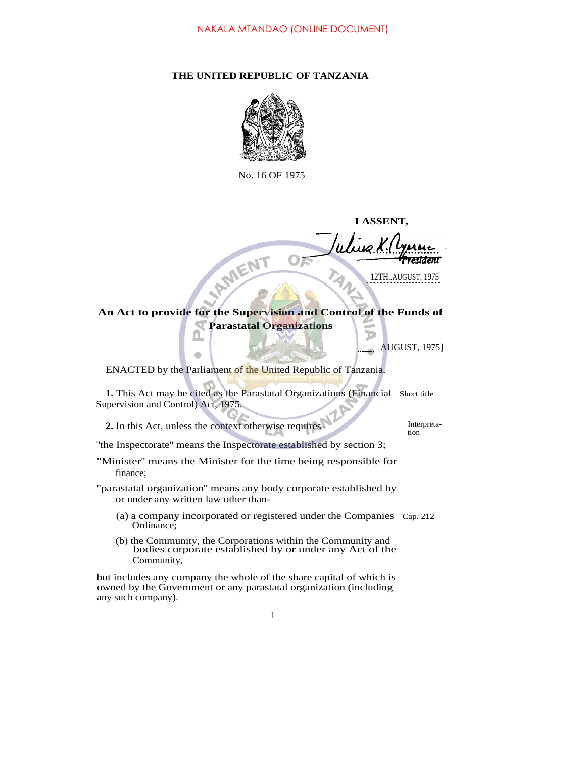## **THE UNITED REPUBLIC OF TANZANIA**



No. 16 OF 1975

**I ASSENT,**

.

**An Act to provide for the Supervision and Control of the Funds of Parastatal Organizations**

AUGUST, 1975]

ENACTED by the Parliament of the United Republic of Tanzania.

**IRMENT** 

**1.** This Act may be cited as the Parastatal Organizations (Financial Short title Supervision and Control) Act, 1975.

**2.** In this Act, unless the context otherwise requires-

 $\bullet$ 

tion

''the Inspectorate'' means the Inspectorate established by section 3;

- "Minister'' means the Minister for the time being responsible for finance;
- "parastatal organization'' means any body corporate established by or under any written law other than-
	- (a) a company incorporated or registered under the Companies Cap. 212 Ordinance;
	- (b) the Community, the Corporations within the Community and bodies corporate established by or under any Act of the Community,

but includes any company the whole of the share capital of which is owned by the Government or any parastatal organization (including any such company).

<sup>12</sup>TH..AUGUST, 1975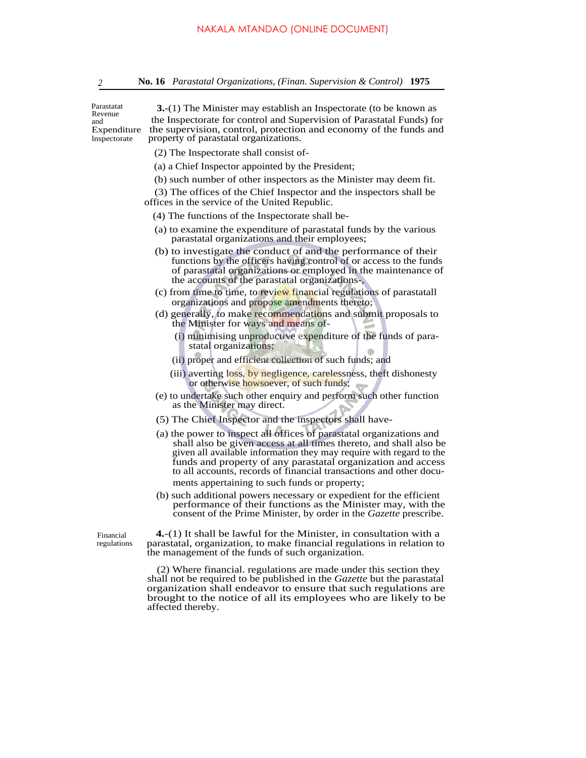Parastatat Revenue and<br>Expenditure

**3.**-(1) The Minister may establish an Inspectorate (to be known as the Inspectorate for control and Supervision of Parastatal Funds) for the supervision, control, protection and economy of the funds and lnspectorate property of parastatal organizations.

- (2) The Inspectorate shall consist of-
- (a) a Chief Inspector appointed by the President;
- (b) such number of other inspectors as the Minister may deem fit.

(3) The offices of the Chief Inspector and the inspectors shall be offices in the service of the United Republic.

- (4) The functions of the Inspectorate shall be-
- (a) to examine the expenditure of parastatal funds by the various parastatal organizations and their employees;
- (b) to investigate the conduct of and the performance of their functions by the officers having control of or access to the funds of parastatal organizations or employed in the maintenance of the accounts of the parastatal organizations-,
- (c) from time to time, to review financial regulations of parastatall organizations and propose amendments thereto;
- (d) generally, to make recommendations and submit proposals to the Minister for ways and means of-
	- (i) minimising unproductive expenditure of the funds of parastatal organizations;
	- (ii) proper and efficient collection of such funds; and
	- (iii) averting loss, by negligence, carelessness, theft dishonesty or otherwise howsoever, of such funds;
- (e) to undertake such other enquiry and perform such other function as the Minister may direct.
- (5) The Chief Inspector and the inspectors shall have-
- (a) the power to inspect all offices of parastatal organizations and shall also be given access at all times thereto, and shall also be given all available information they may require with regard to the funds and property of any parastatal organization and access to all accounts, records of financial transactions and other documents appertaining to such funds or property;
- (b) such additional powers necessary or expedient for the efficient performance of their functions as the Minister may, with the consent of the Prime Minister, by order in the *Gazette* prescribe.

Financial regulations

**4.**-(1) It shall be lawful for the Minister, in consultation with a parastatal, organization, to make financial regulations in relation to the management of the funds of such organization.

(2) Where financial. regulations are made under this section they shall not be required to be published in the *Gazette* but the parastatal organization shall endeavor to ensure that such regulations are brought to the notice of all its employees who are likely to be affected thereby.